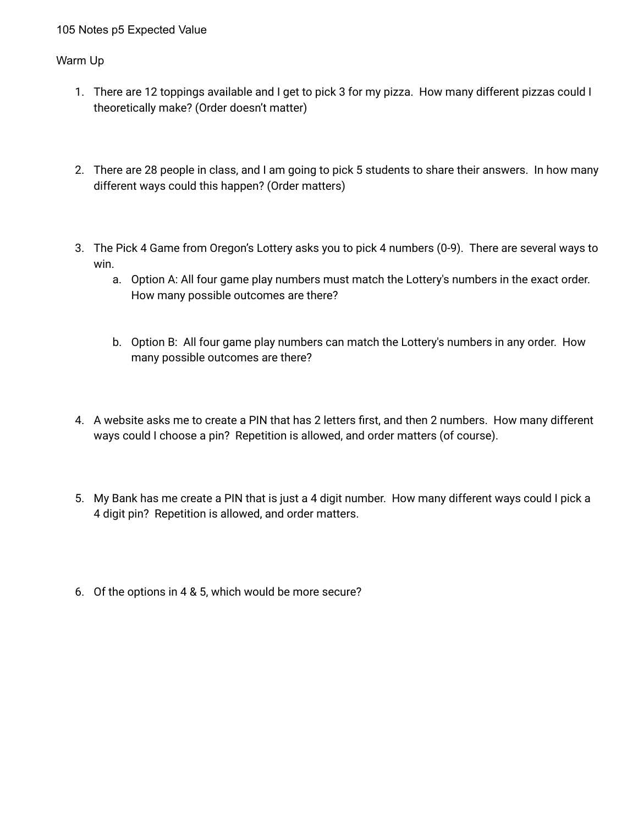## 105 Notes p5 Expected Value

## Warm Up

- 1. There are 12 toppings available and I get to pick 3 for my pizza. How many different pizzas could I theoretically make? (Order doesn't matter)
- 2. There are 28 people in class, and I am going to pick 5 students to share their answers. In how many different ways could this happen? (Order matters)
- 3. The Pick 4 Game from Oregon's Lottery asks you to pick 4 numbers (0-9). There are several ways to win.
	- a. Option A: All four game play numbers must match the Lottery's numbers in the exact order. How many possible outcomes are there?
	- b. Option B: All four game play numbers can match the Lottery's numbers in any order. How many possible outcomes are there?
- 4. A website asks me to create a PIN that has 2 letters first, and then 2 numbers. How many different ways could I choose a pin? Repetition is allowed, and order matters (of course).
- 5. My Bank has me create a PIN that is just a 4 digit number. How many different ways could I pick a 4 digit pin? Repetition is allowed, and order matters.
- 6. Of the options in 4 & 5, which would be more secure?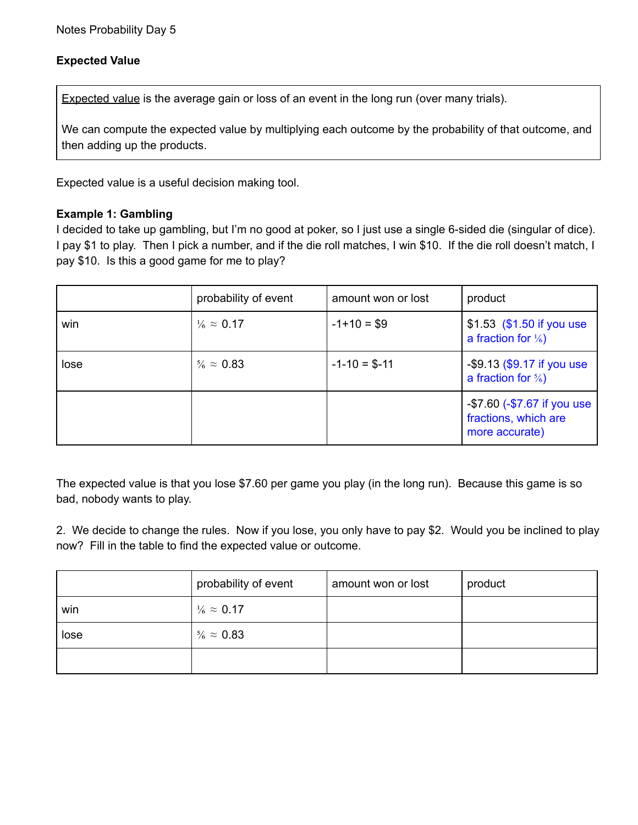# **Expected Value**

Expected value is the average gain or loss of an event in the long run (over many trials).

We can compute the expected value by multiplying each outcome by the probability of that outcome, and then adding up the products.

Expected value is a useful decision making tool.

## **Example 1: Gambling**

I decided to take up gambling, but I'm no good at poker, so I just use a single 6-sided die (singular of dice). I pay \$1 to play. Then I pick a number, and if the die roll matches, I win \$10. If the die roll doesn't match, I pay \$10. Is this a good game for me to play?

|      | probability of event       | amount won or lost | product                                                               |
|------|----------------------------|--------------------|-----------------------------------------------------------------------|
| win  | $\frac{1}{6} \approx 0.17$ | $-1+10=$ \$9       | \$1.53 (\$1.50 if you use<br>a fraction for $\frac{1}{6}$             |
| lose | $\frac{5}{6} \approx 0.83$ | $-1 - 10 = $-11$   | -\$9.13 (\$9.17 if you use<br>a fraction for $\frac{5}{6}$            |
|      |                            |                    | -\$7.60 (-\$7.67 if you use<br>fractions, which are<br>more accurate) |

The expected value is that you lose \$7.60 per game you play (in the long run). Because this game is so bad, nobody wants to play.

2. We decide to change the rules. Now if you lose, you only have to pay \$2. Would you be inclined to play now? Fill in the table to find the expected value or outcome.

|      | probability of event       | amount won or lost | product |
|------|----------------------------|--------------------|---------|
| win  | $\frac{1}{6} \approx 0.17$ |                    |         |
| lose | $\frac{5}{6} \approx 0.83$ |                    |         |
|      |                            |                    |         |